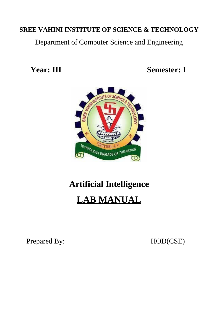Department of Computer Science and Engineering

**Year: III Semester: I**



# **Artificial Intelligence**



Prepared By: HOD(CSE)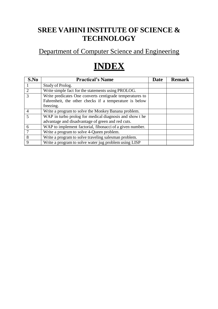## Department of Computer Science and Engineering

# **INDEX**

| S.No                    | <b>Practical's Name</b>                                                                                                         | Date | <b>Remark</b> |
|-------------------------|---------------------------------------------------------------------------------------------------------------------------------|------|---------------|
|                         | Study of Prolog.                                                                                                                |      |               |
|                         | Write simple fact for the statements using PROLOG.                                                                              |      |               |
|                         | Write predicates One converts centigrade temperatures to<br>Fahrenheit, the other checks if a temperature is below<br>freezing. |      |               |
| $\overline{A}$          | Write a program to solve the Monkey Banana problem.                                                                             |      |               |
| $\overline{\mathbf{5}}$ | WAP in turbo prolog for medical diagnosis and show the<br>advantage and disadvantage of green and red cuts.                     |      |               |
| 6                       | WAP to implement factorial, fibonacci of a given number.                                                                        |      |               |
|                         | Write a program to solve 4-Queen problem.                                                                                       |      |               |
| 8                       | Write a program to solve traveling salesman problem.                                                                            |      |               |
| 9                       | Write a program to solve water jug problem using LISP                                                                           |      |               |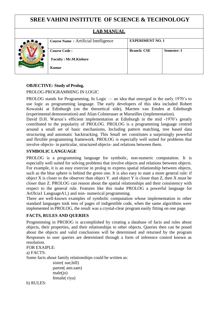#### **LAB MANUAL**



|                       | <b>Course Name: Artificial Intelligence</b> | <b>EXPERIMENT NO. 1</b> |                    |
|-----------------------|---------------------------------------------|-------------------------|--------------------|
| <b>WOLDGY</b>         | <b>Course Code:</b>                         | <b>Branch: CSE</b>      | <b>Semester: I</b> |
| $\blacktriangleright$ | <b>Faculty: Mr.M.Kishore</b>                |                         |                    |
| O                     | <b>Kumar</b>                                |                         |                    |

#### **OBJECTIVE: Study of Prolog.**

#### PROLOG-PROGRAMMING IN LOGIC

PROLOG stands for Programming, In Logic — an idea that emerged in the early 1970's to use logic as programming language. The early developers of this idea included Robert Kowaiski at Edinburgh (on the theoretical side), Marrten van Emden at Edinburgh (experimental demonstration) and Alian Colmerauer at Marseilles (implementation).

David D.H. Warren's efficient implementation at Edinburgh in the mid -1970's greatly contributed to the popularity of PROLOG. PROLOG is a programming language centred around a small set of basic mechanisms, Including pattern matching, tree based data structuring and automatic backtracking. This Small set constitutes a surprisingly powerful and flexible programming framework. PROLOG is especially well suited for problems that involve objects- in particular, structured objects- and relations between them.

#### **SYMBOLIC LANGUAGE**

PROLOG is a programming language for symbolic, non-numeric computation. It is especially well suited for solving problems that involve objects and relations between objects. For example, it is an easy exercise in prolog to express spatial relationship between objects, such as the blue sphere is behind the green one. It is also easy to state a more general rule: if object X is closer to the observer than object Y. and object Y is closer than Z, then X must be closer than Z. PROLOG can reason about the spatial relationships and their consistency with respect to the general rule. Features like this make PROLOG a powerful language for ArtJIcia1 LanguageA1,) and non- numerical programming.

There are well-known examples of symbolic computation whose implementation in other standard languages took tens of pages of indigestible code, when the same algorithms were implemented in PROLOG, the result was a crystal-clear program easily fitting on one page.

#### **FACTS, RULES AND QUERIES**

Progmmming in PROIOG is accomplished by creating a database of facts and rules about objects, their properties, and their relationships to other objects. Queries then can be posed about the objects and valid conclusions will be determined and returned by the program Responses to user queries are determined through a form of inference control known as resolution.

#### FOR EXAIPLE:

a) FACTS: Some facts about family relationships could be written as: sister( sue,bill) parent( ann.sam)

 $male(io)$ female( riya)

b) RULES: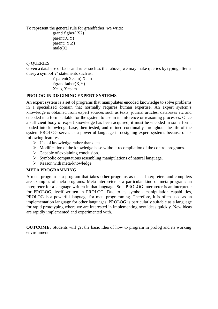To represent the general rule for grandfather, we write:

grand f.gher( X2)  $parent(X, Y)$ parent( Y,Z)  $male(X)$ 

c) QUERIES:

Given a database of facts and rules such as that above, we may make queries by typing after a query a symbol'?' statements such as:

> ?-parent(X,sam) Xann ?grandfather $(X, Y)$ X=jo, Y=sam

#### **PROLOG IN DISGINING EXPERT SYSTEMS**

An expert system is a set of programs that manipulates encoded knowledge to solve problems in a specialized domain that normally requires human expertise. An expert system's knowledge is obtained from expert sources such as texts, journal articles. databases etc and encoded in a form suitable for the system to use in its inference or reasoning processes. Once a sufficient body of expert knowledge has been acquired, it must be encoded in some form, loaded into knowledge base, then tested, and refined continually throughout the life of the system PROLOG serves as a powerful language in designing expert systems because of its following features.

- $\triangleright$  Use of knowledge rather than data
- $\triangleright$  Modification of the knowledge base without recompilation of the control programs.
- $\triangleright$  Capable of explaining conclusion.
- $\triangleright$  Symbolic computations resembling manipulations of natural language.
- $\triangleright$  Reason with meta-knowledge.

#### **META PROGRAMMING**

A meta-program is a program that takes other programs as data. Interpreters and compilers are examples of mela-programs. Meta-interpreter is a particular kind of meta-program: an interpreter for a language written in that language. So a PROLOG interpreter is an interpreter for PROLOG, itself written in PROLOG. Due to its symbol- manipulation capabilities, PROLOG is a powerful language for meta-programming. Therefore, it is often used as an implementation language for other languages. PROLOG is particularly suitable as a language for rapid prototyping where we are interested in implementing new ideas quickly. New ideas are rapidly implemented and experimented with.

**OUTCOME:** Students will get the basic idea of how to program in prolog and its working environment.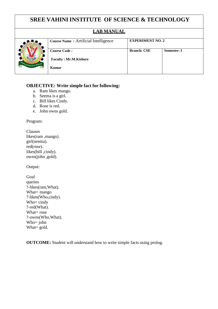### **LAB MANUAL**



| ели матема                                  |                         |                    |
|---------------------------------------------|-------------------------|--------------------|
| <b>Course Name: Artificial Intelligence</b> | <b>EXPERIMENT NO. 2</b> |                    |
|                                             |                         |                    |
| <b>Course Code:</b>                         | <b>Branch: CSE</b>      | <b>Semester: I</b> |
| <b>Faculty: Mr.M.Kishore</b>                |                         |                    |
| Kumar                                       |                         |                    |
|                                             |                         |                    |

#### **OBJECTIVE: Write simple fact for following:**

- a. Ram likes mango.
- b. Seema is a girl.
- c. Bill likes Cindy.
- d. Rose is red.
- e. John owns gold.

Program:

Clauses likes(ram ,mango). girl(seema). red(rose). likes(bill ,cindy). owns(john ,gold).

Output:

| Goal                |
|---------------------|
| queries             |
| ?-likes(ram, What). |
| What= mango         |
| ?-likes(Who,cindy). |
| Who= cindy          |
| ?-red(What).        |
| What= $\text{rose}$ |
| ?-owns(Who,What).   |
| Who= john           |
| What $=$ gold.      |
|                     |

**OUTCOME:** Student will understand how to write simple facts using prolog.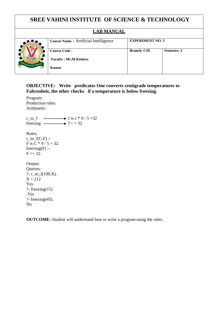#### **LAB MANUAL**

**Branch: CSE Semester: I**



#### **OBJECTIVE: Write predicates One converts centigrade temperatures to Fahrenheit, the other checks if a temperature is below freezing.**

Program: Production rules: Arithmetic:

c\_to\_f  $\longrightarrow$  f is c \* 9 / 5 +32 freezing  $\longrightarrow$  f < = 32 Rules:

c to  $f(C,F)$  :-F is C  $*$  9/5 + 32.  $freezing(F)$  :- $F = < 32$ .

Output: Queries: ?- c\_to\_f(100,X).  $X = 212$ Yes ?- freezing $(15)$ .Yes ?- freezing $(45)$ . No

**OUTCOME:** Student will understand how to write a program using the rules.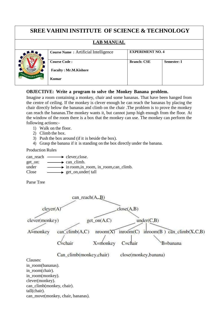#### **LAB MANUAL**



| ---------                                   |                         |                    |
|---------------------------------------------|-------------------------|--------------------|
| <b>Course Name: Artificial Intelligence</b> | <b>EXPERIMENT NO. 4</b> |                    |
|                                             |                         |                    |
| <b>Course Code:</b>                         | <b>Branch: CSE</b>      | <b>Semester: I</b> |
| <b>Faculty: Mr.M.Kishore</b>                |                         |                    |
| Kumar                                       |                         |                    |
|                                             |                         |                    |

#### **OBJECTIVE: Write a program to solve the Monkey Banana problem.**

Imagine a room containing a monkey, chair and some bananas. That have been hanged from the centre of ceiling. If the monkey is clever enough he can reach the bananas by placing the chair directly below the bananas and climb on the chair .The problem is to prove the monkey can reach the bananas.The monkey wants it, but cannot jump high enough from the floor. At the window of the room there is a box that the monkey can use. The monkey can perform the following actions:-

- 1) Walk on the floor.
- 2) Climb the box.
- 3) Push the box around (if it is beside the box).
- 4) Grasp the banana if it is standing on the box directly under the banana.

Production Rules





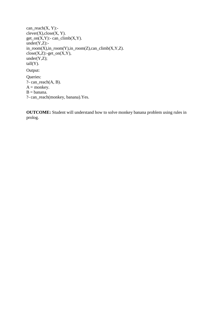```
can\_reach(X, Y):-
clever(X), close(X, Y).get\_on(X,Y):- can_climb(X,Y).
under(Y,Z):-
in\_room(X), in\_room(Y), in\_room(Z), can\_climb(X,Y,Z).close(X,Z):-get_on(X,Y),
under(Y,Z);tall(Y).
Output:
Queries:
?- can_reach(A, B).
A = monkey.
B = \text{banana}.?- can_reach(monkey, banana).Yes.
```
**OUTCOME:** Student will understand how to solve monkey banana problem using rules in prolog.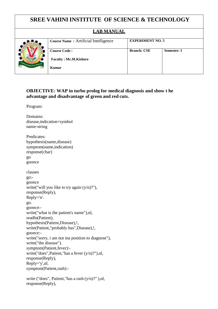#### **LAB MANUAL**



| <b>Course Name: Artificial Intelligence</b> | <b>EXPERIMENT NO. 5</b> |                    |
|---------------------------------------------|-------------------------|--------------------|
| <b>Course Code:</b>                         | <b>Branch: CSE</b>      | <b>Semester: I</b> |
| <b>Faculty: Mr.M.Kishore</b>                |                         |                    |
| Kumar                                       |                         |                    |

#### **OBJECTIVE: WAP in turbo prolog for medical diagnosis and show t he advantage and disadvantage of green and red cuts.**

Program:

Domains: disease,indication=symbol name-string Predicates: hypothesis(name,disease) symptom(name,indication) response(char) go goonce clauses go: goonce write("will you like to try again  $(y/n)$ ?"), response(Reply), Reply='n'. go. goonce: write("what is the patient's name"),nl, readln(Patient), hypothesis(Patient,Disease),!, write(Patient,"probably has",Disease),!, goonce: write("sorry, i am not ina position to diagnose"), write("the disease"). symptom(Patient,fever): write("does",Patient,"has a fever (y/n)?"),nl, response(Reply), Reply='y',nl. symptom(Patient,rash):-

write ("does", Patient, "has a rash (y/n)?"),nl, response(Reply),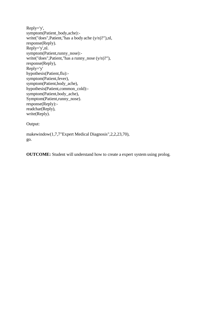```
Reply='y',
symptom(Patient_body,ache):-
write("does",Patient,"has a body ache (y/n)?"),nl,
response(Reply).
Reply='y',nl.
symptom(Patient,runny_nose):-
write("does",Patient,"has a runny_nose (y/n)?"),
response(Reply),
Reply='y'
hypothesis(Patient,flu):-
symptom(Patient,fever),
symptom(Patient,body_ache),
hypothesis(Patient,common_cold):-
symptom(Patient,body_ache),
Symptom(Patient,runny_nose).
response(Reply):-
readchar(Reply),
write(Reply).
```
Output:

makewindow(1,7,7"Expert Medical Diagnosis",2,2,23,70), go.

**OUTCOME:** Student will understand how to create a expert system using prolog.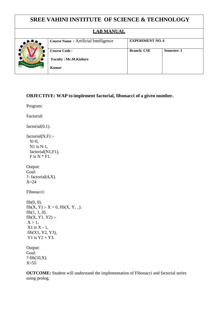# **SREE VAHINI INSTITUTE OF SCIENCE & TECHNOLOGY LAB MANUAL Course Name** : Artificial Intelligence **EXPERIMENT NO. 6 Course Code : Faculty : Mr.M.Kishore Kumar Branch: CSE Semester: I**

#### **OBJECTIVE: WAP to implement factorial, fibonacci of a given number.**

Program:

Factorial:

factorial(0,1).

 $factorial(N,F)$  :- $N>0$ , N1 is N-1, factorial(N1,F1),  $F$  is  $N * F1$ .

Output: Goal: ?- factorial $(4,X)$ . X=24

Fibonacci:

```
fib(0, 0).
fib(X, Y) : X > 0, fib(X, Y, ...).
fib(1, 1, 0).
fib(X, Y1, Y2):
X > 1,
X1 is X - 1,
fib(X1, Y2, Y3),
Y1 is Y2 + Y3.
```
Output: Goal: ?-fib $(10,X)$ .  $X=55$ 

**OUTCOME:** Student will understand the implementation of Fibonacci and factorial series using prolog.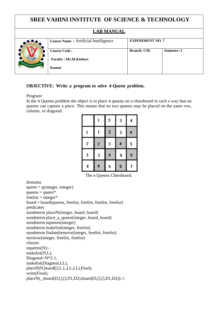# **SREE VAHINI INSTITUTE OF SCIENCE & TECHNOLOGY LAB MANUAL Course Name :** Artificial Intelligence **EXPERIMENT NO. 7 Course Code : Faculty : Mr.M.Kishore Kumar Branch: CSE Semester: I**

#### **OBJECTIVE: Write a program to solve 4-Queen problem.**

Program:

In the 4 Queens problem the object is to place 4 queens on a chessboard in such a way that no queens can capture a piece. This means that no two queens may be placed on the same row, column, or diagonal.

|   |              | $\overline{\mathbf{c}}$ | 3 | 4 |
|---|--------------|-------------------------|---|---|
|   |              | $\overline{\mathbf{c}}$ | 3 | 4 |
| 2 | $\mathbf{Z}$ | 3                       | 4 | 5 |
| 3 | 3            | 4                       | 5 | 6 |
| 4 | 4            | 5                       | 6 | 7 |

The n Queens Chessboard.

domains queen  $=$  q(integer, integer)  $queens = queen*$  $freelist = integer*$ board = board(queens, freelist, freelist, freelist, freelist) predicates nondeterm placeN(integer, board, board) nondeterm place\_a\_queen(integer, board, board) nondeterm nqueens(integer) nondeterm makelist(integer, freelist) nondeterm findandremove(integer, freelist, freelist) nextrow(integer, freelist, freelist) clauses  $nqueens(N)$ :makelist(N,L), Diagonal=N<sup>\*2-1</sup>, makelist(Diagonal,LL), placeN(N,board([],L,L,LL,LL),Final), write(Final). placeN(\_,board(D,[],[],D1,D2),board(D,[],[],D1,D2)):-!.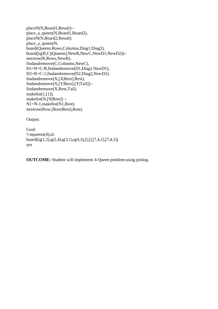placeN(N,Board1,Result): place\_a\_queen(N,Board1,Board2), placeN(N,Board2,Result). place\_a\_queen(N, board(Queens,Rows,Columns,Diag1,Diag2), board([q(R,C)|Queens],NewR,NewC,NewD1,NewD2)): nextrow(R,Rows,NewR), findandremove(C,Columns,NewC), D1=N+C-R,findandremove(D1,Diag1,NewD1), D2=R+C-1,findandremove(D2,Diag2,NewD2). findandremove(X,[X|Rest],Rest). findandremove(X,[Y|Rest],[Y|Tail]): findandremove(X,Rest,Tail). makelist $(1,[1])$ . makelist(N,[N|Rest]) :- N1=N-1,makelist(N1,Rest). nextrow(Row,[Row|Rest],Rest).

Output:

```
Goal:
?-nqueens(4),nl.
board([q(1,2),q(2,4),q(3,1),q(4,3),[],[],[7,4,1],[7,4,1])
yes
```
**OUTCOME:** Student will implement 4-Queen problem using prolog.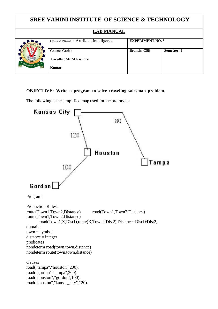|                              | <b>SREE VAHINI INSTITUTE OF SCIENCE &amp; TECHNOLOGY</b> |                         |                    |
|------------------------------|----------------------------------------------------------|-------------------------|--------------------|
|                              | <b>LAB MANUAL</b>                                        |                         |                    |
|                              | <b>Course Name:</b> Artificial Intelligence              | <b>EXPERIMENT NO. 8</b> |                    |
|                              | <b>Course Code:</b>                                      | <b>Branch: CSE</b>      | <b>Semester: I</b> |
| NOLOGY BRIGADE OF THE NATION | <b>Faculty: Mr.M.Kishore</b>                             |                         |                    |
|                              | Kumar                                                    |                         |                    |

#### **OBJECTIVE: Write a program to solve traveling salesman problem.**

The following is the simplified map used for the prototype:

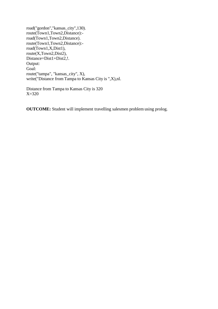road("gordon","kansas\_city",130). route(Town1,Town2,Distance): road(Town1,Town2,Distance). route(Town1,Town2,Distance): road(Town1,X,Dist1), route(X,Town2,Dist2), Distance=Dist1+Dist2,!. Output: Goal: route("tampa", "kansas\_city", X), write("Distance from Tampa to Kansas City is ",X),nl.

Distance from Tampa to Kansas City is 320 X=320

**OUTCOME:** Student will implement travelling salesmen problem using prolog.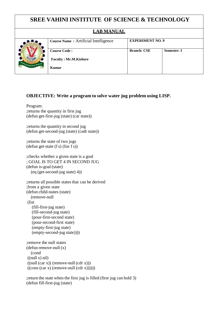#### **LAB MANUAL**



| <b>Branch: CSE</b> | <b>Semester: I</b>      |
|--------------------|-------------------------|
|                    |                         |
|                    |                         |
|                    | <b>EXPERIMENT NO. 9</b> |

#### **OBJECTIVE: Write a program to solve water jug problem using LISP.**

Program: ;returns the quantity in first jug (defun get-first-jug (state) (car state))

;returns the quantity in second jug (defun get-second-jug (state) (cadr state))

;returns the state of two jugs  $(\text{defun get-state} (f s) (\text{list } f s))$ 

;checks whether a given state is a goal ; GOAL IS TO GET 4 IN SECOND JUG (defun is-goal (state) (eq (get-second-jug state) 4))

; returns all possible states that can be derived ;from a given state (defun child-states (state) (remove-null (list (fill-first-jug state) (fill-second-jug state) (pour-first-second state) (pour-second-first state) (empty-first-jug state) (empty-second-jug state)))) ;remove the null states

(defun remove-null (x) (cond  $((null x) nil)$  $((\text{null} (\text{car } x)) (\text{remove-null} (\text{cdr } x)))$  $((\text{cons}(car x)(\text{remove-null}(cdr x))))))$ 

;return the state when the first jug is filled (first jug can hold 3) (defun fill-first-jug (state)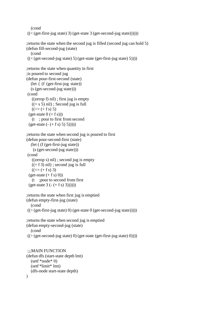(cond  $((<(get-first-jug state) 3) (get-state 3 (get-second-jug state))))))$ 

```
;returns the state when the second jug is filled (second jug can hold 5)
(defun fill-second-jug (state)
  (cond
```

```
((<(get-second-jug state) 5) (get-state (get-first-jug state) 5))))
```

```
;returns the state when quantity in first
;is poured to second jug
(defun pour-first-second (state)
  (let ( (f (get-first-jug state))
  (s (get-second-jug state)))
(cond
   ((zero f) nil); first jug is empty
   ((= s 5) nil); Second jug is full
   ((\leq f + f s) 5)(get-state 0 (+ f s)))(t ; pour to first from second
 (get-state (- (+ fs) 5) 5))))
```

```
;returns the state when second jug is poured to first
(defun pour-second-first (state)
```

```
(let ( (f (get-first-jug state))
   (s (get-second-jug state)))
(cond
  ((zerop s) nil) ; second jug is empty
  ((-f3) nil); second jug is full
  ((\leq f + f s) 3)(get-state (+ fs) 0)(t ;pour to second from first
(get-state 3 (- (+ fs) 3))))))
```

```
;returns the state when first jug is emptied
(defun empty-first-jug (state)
  (cond
((>(get-first-jug state) 0) (get-state 0 (get-second-jug state)))))
;returns the state when second jug is emptied
```

```
(defun empty-second-jug (state)
  (cond
((>(get-second-jug state) 0) (get-state (get-first-jug state) 0))))
```

```
;;;MAIN FUNCTION
(defun dfs (start-state depth lmt)
  (setf *node* 0)
  (setf *limit* lmt)
  (dfs-node start-state depth)
\lambda
```